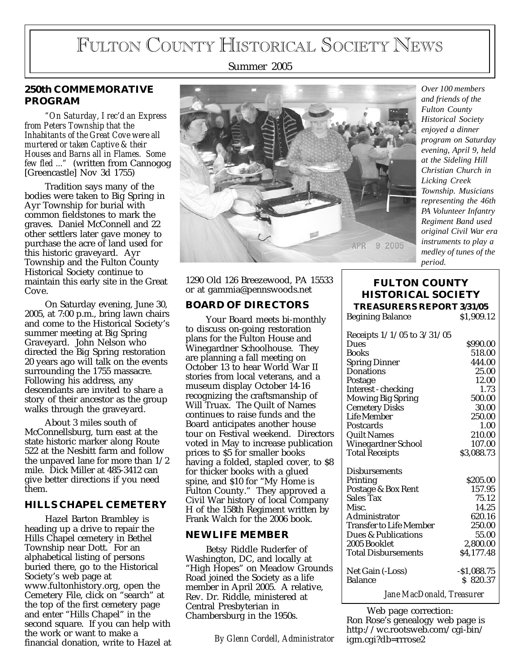# FULTON COUNTY HISTORICAL SOCIETY NEWS

Summer 2005

# **250th COMMEMORATIVE PROGRAM**

*"On Saturday, I rec'd an Express from Peters Township that the Inhabitants of the Great Cove were all murtered or taken Captive & their Houses and Barns all in Flames. Some few fled ..."* (written from Cannogog [Greencastle] Nov 3d 1755)

Tradition says many of the bodies were taken to Big Spring in Ayr Township for burial with common fieldstones to mark the graves. Daniel McConnell and 22 other settlers later gave money to purchase the acre of land used for this historic graveyard. Ayr Township and the Fulton County Historical Society continue to maintain this early site in the Great Cove.

On Saturday evening, June 30, 2005, at 7:00 p.m., bring lawn chairs and come to the Historical Society's summer meeting at Big Spring Graveyard. John Nelson who directed the Big Spring restoration 20 years ago will talk on the events surrounding the 1755 massacre. Following his address, any descendants are invited to share a story of their ancestor as the group walks through the graveyard.

About 3 miles south of McConnellsburg, turn east at the state historic marker along Route 522 at the Nesbitt farm and follow the unpaved lane for more than 1/2 mile. Dick Miller at 485-3412 can give better directions if you need them.

### **HILLS CHAPEL CEMETERY**

Hazel Barton Brambley is heading up a drive to repair the Hills Chapel cemetery in Bethel Township near Dott. For an alphabetical listing of persons buried there, go to the Historical Society's web page at www.fultonhistory.org, open the Cemetery File, click on "search" at the top of the first cemetery page and enter "Hills Chapel" in the second square. If you can help with the work or want to make a financial donation, write to Hazel at



*Over 100 members and friends of the Fulton County Historical Society enjoyed a dinner program on Saturday evening, April 9, held at the Sideling Hill Christian Church in Licking Creek Township. Musicians representing the 46th PA Volunteer Infantry Regiment Band used original Civil War era instruments to play a medley of tunes of the period.*

1290 Old 126 Breezewood, PA 15533 or at gammia@pennswoods.net

### **BOARD OF DIRECTORS**

Your Board meets bi-monthly to discuss on-going restoration plans for the Fulton House and Winegardner Schoolhouse. They are planning a fall meeting on October 13 to hear World War II stories from local veterans, and a museum display October 14-16 recognizing the craftsmanship of Will Truax. The Quilt of Names continues to raise funds and the Board anticipates another house tour on Festival weekend. Directors voted in May to increase publication prices to \$5 for smaller books having a folded, stapled cover, to \$8 for thicker books with a glued spine, and \$10 for "My Home is Fulton County." They approved a Civil War history of local Company H of the 158th Regiment written by Frank Walch for the 2006 book.

### **NEW LIFE MEMBER**

Betsy Riddle Ruderfer of Washington, DC, and locally at "High Hopes" on Meadow Grounds Road joined the Society as a life member in April 2005. A relative, Rev. Dr. Riddle, ministered at Central Presbyterian in Chambersburg in the 1950s.

*By Glenn Cordell, Administrator*

## **FULTON COUNTY HISTORICAL SOCIETY TREASURERS REPORT 3/31/05**

| <b>Begining Balance</b>        | \$1,909.12   |
|--------------------------------|--------------|
| Receipts $1/1/05$ to $3/31/05$ |              |
| Dues                           | \$990.00     |
| <b>Books</b>                   | 518.00       |
| <b>Spring Dinner</b>           | 444.00       |
| <b>Donations</b>               | 25.00        |
| Postage                        | 12.00        |
| Interest - checking            | 1.73         |
| <b>Mowing Big Spring</b>       | 500.00       |
| <b>Cemetery Disks</b>          | 30.00        |
| Life Member                    | 250.00       |
| Postcards                      | 1.00         |
| <b>Quilt Names</b>             | 210.00       |
| Winegardner School             | 107.00       |
| <b>Total Receipts</b>          | \$3,088.73   |
| <b>Disbursements</b>           |              |
| Printing                       | \$205.00     |
| Postage & Box Rent             | 157.95       |
| Sales Tax                      | 75.12        |
| Misc.                          | 14.25        |
| Administrator                  | 620.16       |
| <b>Transfer to Life Member</b> | 250.00       |
| Dues & Publications            | 55.00        |
| 2005 Booklet                   | 2,800.00     |
| <b>Total Disbursements</b>     | \$4,177.48   |
| Net Gain (-Loss)               | $-$1,088.75$ |
| <b>Balance</b>                 | \$820.37     |
| Jane MacDonald, Treasurer      |              |

Web page correction: Ron Rose's genealogy web page is http://wc.rootsweb.com/cgi-bin/ igm.cgi?db=rrrose2